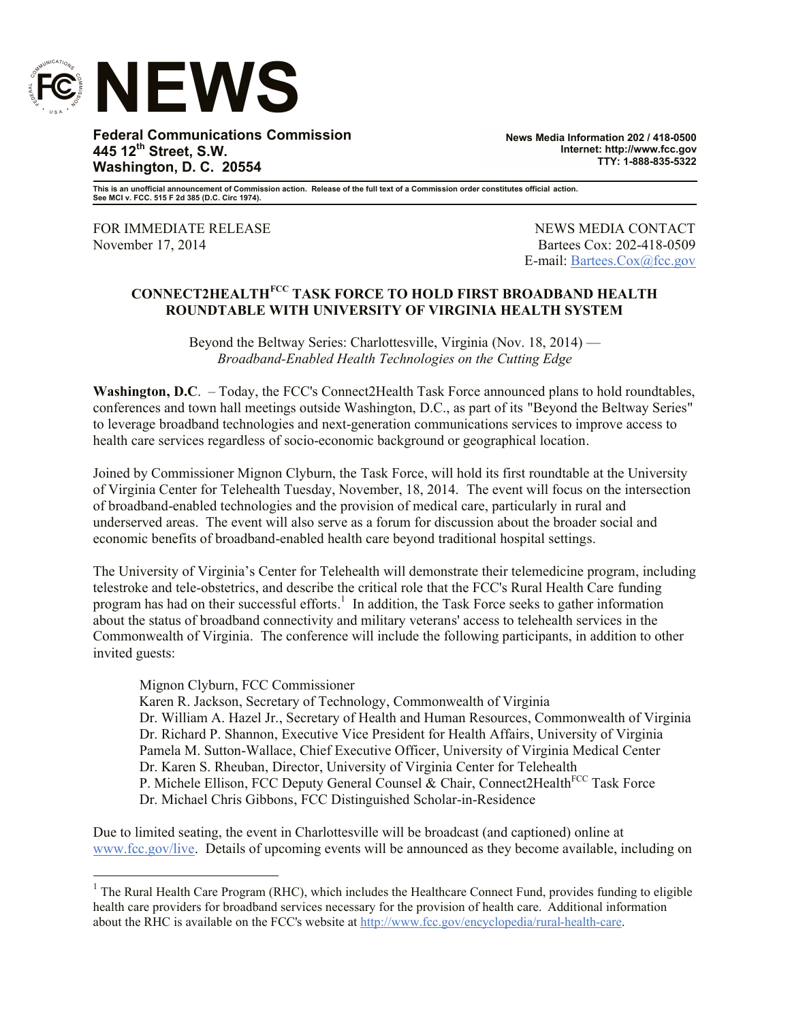

**Federal Communications Commission 445 12th Street, S.W. Washington, D. C. 20554**

**News Media Information 202 / 418-0500 Internet: http://www.fcc.gov TTY: 1-888-835-5322**

**This is an unofficial announcement of Commission action. Release of the full text of a Commission order constitutes official action. See MCI v. FCC. 515 F 2d 385 (D.C. Circ 1974).**

FOR IMMEDIATE RELEASE NEWS MEDIA CONTACT November 17, 2014 **Bartees Cox: 202-418-0509** 

E-mail: Bartees.Cox@fcc.gov

## **CONNECT2HEALTHFCC TASK FORCE TO HOLD FIRST BROADBAND HEALTH ROUNDTABLE WITH UNIVERSITY OF VIRGINIA HEALTH SYSTEM**

Beyond the Beltway Series: Charlottesville, Virginia (Nov. 18, 2014) — *Broadband-Enabled Health Technologies on the Cutting Edge*

**Washington, D.C.** – Today, the FCC's Connect2Health Task Force announced plans to hold roundtables, conferences and town hall meetings outside Washington, D.C., as part of its "Beyond the Beltway Series" to leverage broadband technologies and next-generation communications services to improve access to health care services regardless of socio-economic background or geographical location.

Joined by Commissioner Mignon Clyburn, the Task Force, will hold its first roundtable at the University of Virginia Center for Telehealth Tuesday, November, 18, 2014. The event will focus on the intersection of broadband-enabled technologies and the provision of medical care, particularly in rural and underserved areas. The event will also serve as a forum for discussion about the broader social and economic benefits of broadband-enabled health care beyond traditional hospital settings.

The University of Virginia's Center for Telehealth will demonstrate their telemedicine program, including telestroke and tele-obstetrics, and describe the critical role that the FCC's Rural Health Care funding program has had on their successful efforts.<sup>1</sup> In addition, the Task Force seeks to gather information about the status of broadband connectivity and military veterans' access to telehealth services in the Commonwealth of Virginia. The conference will include the following participants, in addition to other invited guests:

## Mignon Clyburn, FCC Commissioner

 Karen R. Jackson, Secretary of Technology, Commonwealth of Virginia Dr. William A. Hazel Jr., Secretary of Health and Human Resources, Commonwealth of Virginia Dr. Richard P. Shannon, Executive Vice President for Health Affairs, University of Virginia Pamela M. Sutton-Wallace, Chief Executive Officer, University of Virginia Medical Center Dr. Karen S. Rheuban, Director, University of Virginia Center for Telehealth P. Michele Ellison, FCC Deputy General Counsel & Chair, Connect2Health<sup>FCC</sup> Task Force Dr. Michael Chris Gibbons, FCC Distinguished Scholar-in-Residence

Due to limited seating, the event in Charlottesville will be broadcast (and captioned) online at www.fcc.gov/live. Details of upcoming events will be announced as they become available, including on

<sup>&</sup>lt;sup>1</sup> The Rural Health Care Program (RHC), which includes the Healthcare Connect Fund, provides funding to eligible health care providers for broadband services necessary for the provision of health care. Additional information about the RHC is available on the FCC's website at http://www.fcc.gov/encyclopedia/rural-health-care.